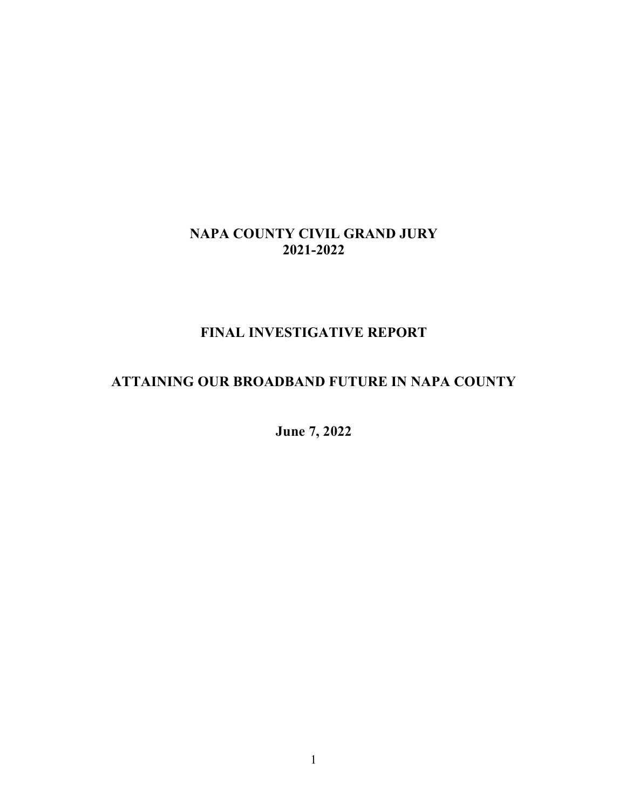### **NAPA COUNTY CIVIL GRAND JURY 2021-2022**

# **FINAL INVESTIGATIVE REPORT**

# **ATTAINING OUR BROADBAND FUTURE IN NAPA COUNTY**

**June 7, 2022**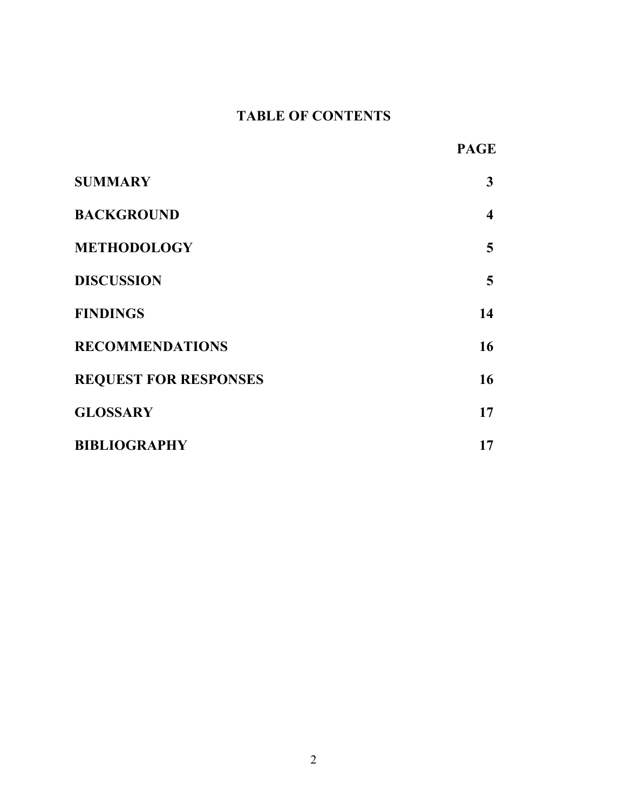# **TABLE OF CONTENTS**

| v.<br>п<br>r. |
|---------------|
|---------------|

| <b>SUMMARY</b>               | 3                |
|------------------------------|------------------|
| <b>BACKGROUND</b>            | $\boldsymbol{4}$ |
| <b>METHODOLOGY</b>           | 5                |
| <b>DISCUSSION</b>            | 5                |
| <b>FINDINGS</b>              | 14               |
| <b>RECOMMENDATIONS</b>       | 16               |
| <b>REQUEST FOR RESPONSES</b> | 16               |
| <b>GLOSSARY</b>              | 17               |
| <b>BIBLIOGRAPHY</b>          | 17               |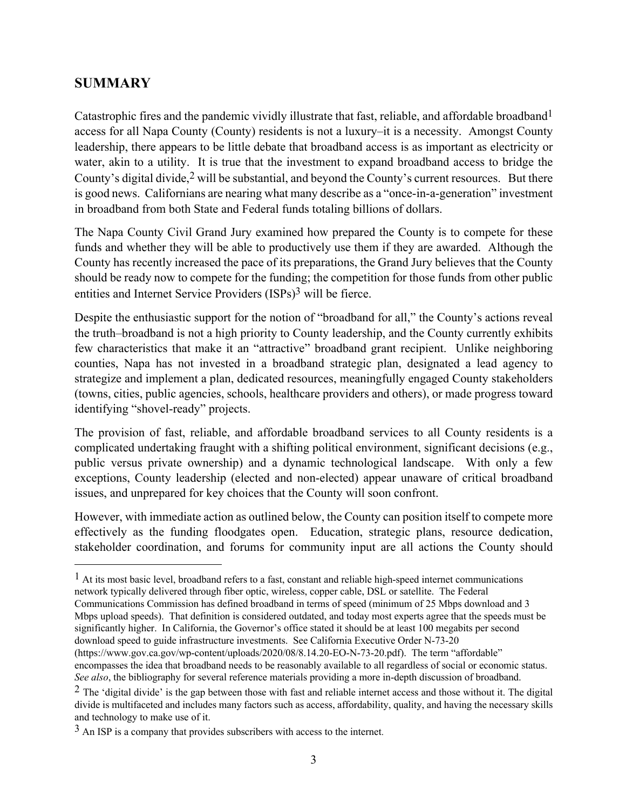### **SUMMARY**

Catastrophic fires and the pandemic vividly illustrate that fast, reliable, and affordable broadband1 access for all Napa County (County) residents is not a luxury–it is a necessity. Amongst County leadership, there appears to be little debate that broadband access is as important as electricity or water, akin to a utility. It is true that the investment to expand broadband access to bridge the County's digital divide,<sup>2</sup> will be substantial, and beyond the County's current resources. But there is good news. Californians are nearing what many describe as a "once-in-a-generation" investment in broadband from both State and Federal funds totaling billions of dollars.

The Napa County Civil Grand Jury examined how prepared the County is to compete for these funds and whether they will be able to productively use them if they are awarded. Although the County has recently increased the pace of its preparations, the Grand Jury believes that the County should be ready now to compete for the funding; the competition for those funds from other public entities and Internet Service Providers (ISPs)3 will be fierce.

Despite the enthusiastic support for the notion of "broadband for all," the County's actions reveal the truth–broadband is not a high priority to County leadership, and the County currently exhibits few characteristics that make it an "attractive" broadband grant recipient. Unlike neighboring counties, Napa has not invested in a broadband strategic plan, designated a lead agency to strategize and implement a plan, dedicated resources, meaningfully engaged County stakeholders (towns, cities, public agencies, schools, healthcare providers and others), or made progress toward identifying "shovel-ready" projects.

The provision of fast, reliable, and affordable broadband services to all County residents is a complicated undertaking fraught with a shifting political environment, significant decisions (e.g., public versus private ownership) and a dynamic technological landscape. With only a few exceptions, County leadership (elected and non-elected) appear unaware of critical broadband issues, and unprepared for key choices that the County will soon confront.

However, with immediate action as outlined below, the County can position itself to compete more effectively as the funding floodgates open. Education, strategic plans, resource dedication, stakeholder coordination, and forums for community input are all actions the County should

 $<sup>1</sup>$  At its most basic level, broadband refers to a fast, constant and reliable high-speed internet communications</sup> network typically delivered through fiber optic, wireless, copper cable, DSL or satellite. The Federal Communications Commission has defined broadband in terms of speed (minimum of 25 Mbps download and 3 Mbps upload speeds). That definition is considered outdated, and today most experts agree that the speeds must be significantly higher. In California, the Governor's office stated it should be at least 100 megabits per second download speed to guide infrastructure investments. See California Executive Order N-73-20 (https://www.gov.ca.gov/wp-content/uploads/2020/08/8.14.20-EO-N-73-20.pdf). The term "affordable" encompasses the idea that broadband needs to be reasonably available to all regardless of social or economic status. *See also*, the bibliography for several reference materials providing a more in-depth discussion of broadband.

 $<sup>2</sup>$  The 'digital divide' is the gap between those with fast and reliable internet access and those without it. The digital</sup> divide is multifaceted and includes many factors such as access, affordability, quality, and having the necessary skills and technology to make use of it.

 $3$  An ISP is a company that provides subscribers with access to the internet.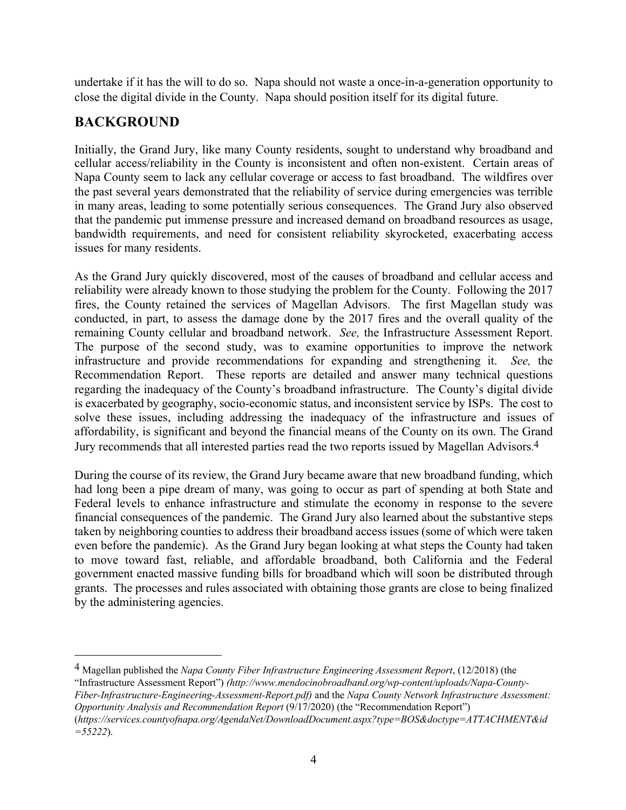undertake if it has the will to do so. Napa should not waste a once-in-a-generation opportunity to close the digital divide in the County. Napa should position itself for its digital future.

# **BACKGROUND**

Initially, the Grand Jury, like many County residents, sought to understand why broadband and cellular access/reliability in the County is inconsistent and often non-existent. Certain areas of Napa County seem to lack any cellular coverage or access to fast broadband. The wildfires over the past several years demonstrated that the reliability of service during emergencies was terrible in many areas, leading to some potentially serious consequences. The Grand Jury also observed that the pandemic put immense pressure and increased demand on broadband resources as usage, bandwidth requirements, and need for consistent reliability skyrocketed, exacerbating access issues for many residents.

As the Grand Jury quickly discovered, most of the causes of broadband and cellular access and reliability were already known to those studying the problem for the County. Following the 2017 fires, the County retained the services of Magellan Advisors. The first Magellan study was conducted, in part, to assess the damage done by the 2017 fires and the overall quality of the remaining County cellular and broadband network. *See,* the Infrastructure Assessment Report. The purpose of the second study, was to examine opportunities to improve the network infrastructure and provide recommendations for expanding and strengthening it. *See,* the Recommendation Report. These reports are detailed and answer many technical questions regarding the inadequacy of the County's broadband infrastructure. The County's digital divide is exacerbated by geography, socio-economic status, and inconsistent service by ISPs. The cost to solve these issues, including addressing the inadequacy of the infrastructure and issues of affordability, is significant and beyond the financial means of the County on its own. The Grand Jury recommends that all interested parties read the two reports issued by Magellan Advisors.<sup>4</sup>

During the course of its review, the Grand Jury became aware that new broadband funding, which had long been a pipe dream of many, was going to occur as part of spending at both State and Federal levels to enhance infrastructure and stimulate the economy in response to the severe financial consequences of the pandemic. The Grand Jury also learned about the substantive steps taken by neighboring counties to address their broadband access issues (some of which were taken even before the pandemic). As the Grand Jury began looking at what steps the County had taken to move toward fast, reliable, and affordable broadband, both California and the Federal government enacted massive funding bills for broadband which will soon be distributed through grants. The processes and rules associated with obtaining those grants are close to being finalized by the administering agencies.

4 Magellan published the *Napa County Fiber Infrastructure Engineering Assessment Report*, (12/2018) (the "Infrastructure Assessment Report") *(http://www.mendocinobroadband.org/wp-content/uploads/Napa-County-Fiber-Infrastructure-Engineering-Assessment-Report.pdf)* and the *Napa County Network Infrastructure Assessment: Opportunity Analysis and Recommendation Report* (9/17/2020) (the "Recommendation Report") (*https://services.countyofnapa.org/AgendaNet/DownloadDocument.aspx?type=BOS&doctype=ATTACHMENT&id =55222*).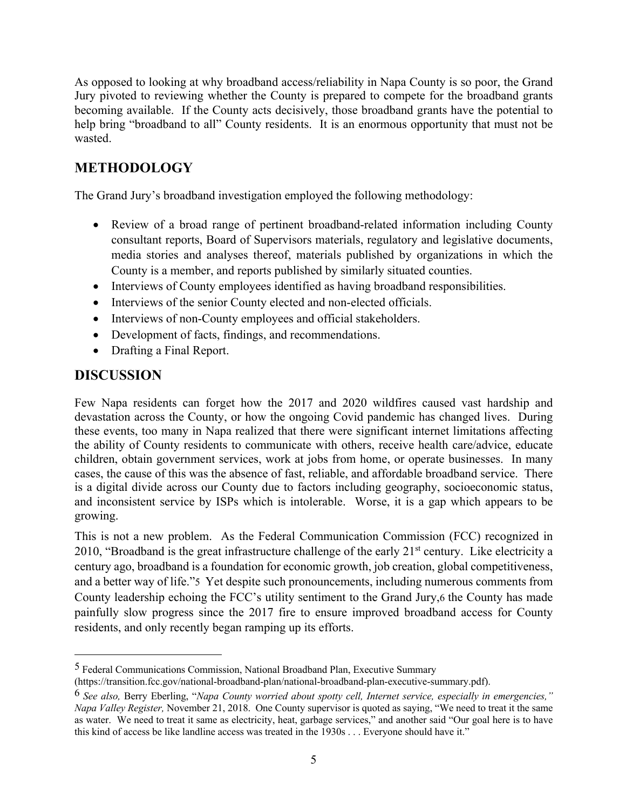As opposed to looking at why broadband access/reliability in Napa County is so poor, the Grand Jury pivoted to reviewing whether the County is prepared to compete for the broadband grants becoming available. If the County acts decisively, those broadband grants have the potential to help bring "broadband to all" County residents. It is an enormous opportunity that must not be wasted.

# **METHODOLOGY**

The Grand Jury's broadband investigation employed the following methodology:

- Review of a broad range of pertinent broadband-related information including County consultant reports, Board of Supervisors materials, regulatory and legislative documents, media stories and analyses thereof, materials published by organizations in which the County is a member, and reports published by similarly situated counties.
- Interviews of County employees identified as having broadband responsibilities.
- Interviews of the senior County elected and non-elected officials.
- Interviews of non-County employees and official stakeholders.
- Development of facts, findings, and recommendations.
- Drafting a Final Report.

#### **DISCUSSION**

Few Napa residents can forget how the 2017 and 2020 wildfires caused vast hardship and devastation across the County, or how the ongoing Covid pandemic has changed lives. During these events, too many in Napa realized that there were significant internet limitations affecting the ability of County residents to communicate with others, receive health care/advice, educate children, obtain government services, work at jobs from home, or operate businesses. In many cases, the cause of this was the absence of fast, reliable, and affordable broadband service. There is a digital divide across our County due to factors including geography, socioeconomic status, and inconsistent service by ISPs which is intolerable. Worse, it is a gap which appears to be growing.

This is not a new problem. As the Federal Communication Commission (FCC) recognized in 2010, "Broadband is the great infrastructure challenge of the early  $21<sup>st</sup>$  century. Like electricity a century ago, broadband is a foundation for economic growth, job creation, global competitiveness, and a better way of life."5 Yet despite such pronouncements, including numerous comments from County leadership echoing the FCC's utility sentiment to the Grand Jury,6 the County has made painfully slow progress since the 2017 fire to ensure improved broadband access for County residents, and only recently began ramping up its efforts.

<sup>5</sup> Federal Communications Commission, National Broadband Plan, Executive Summary

<sup>(</sup>https://transition.fcc.gov/national-broadband-plan/national-broadband-plan-executive-summary.pdf).

<sup>6</sup> *See also,* Berry Eberling, "*Napa County worried about spotty cell, Internet service, especially in emergencies," Napa Valley Register,* November 21, 2018. One County supervisor is quoted as saying, "We need to treat it the same as water. We need to treat it same as electricity, heat, garbage services," and another said "Our goal here is to have this kind of access be like landline access was treated in the 1930s . . . Everyone should have it."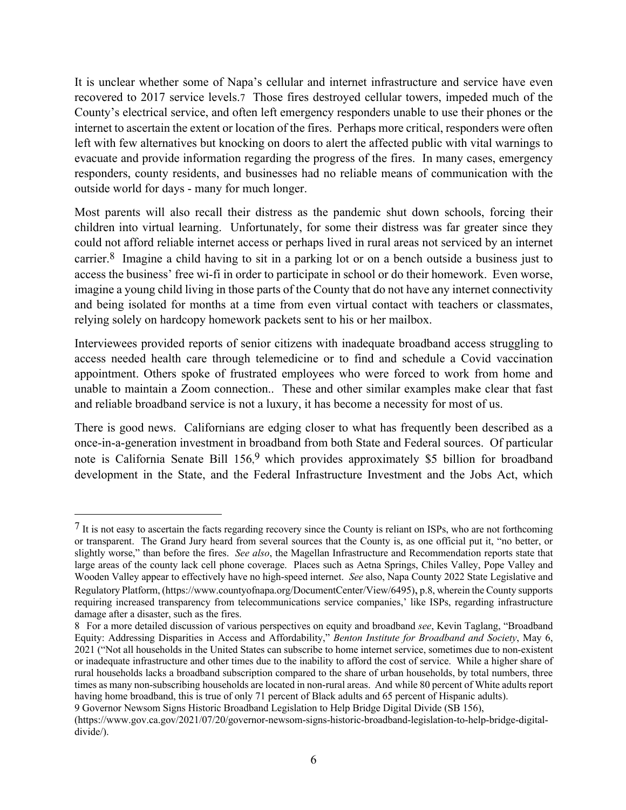It is unclear whether some of Napa's cellular and internet infrastructure and service have even recovered to 2017 service levels.7 Those fires destroyed cellular towers, impeded much of the County's electrical service, and often left emergency responders unable to use their phones or the internet to ascertain the extent or location of the fires. Perhaps more critical, responders were often left with few alternatives but knocking on doors to alert the affected public with vital warnings to evacuate and provide information regarding the progress of the fires. In many cases, emergency responders, county residents, and businesses had no reliable means of communication with the outside world for days - many for much longer.

Most parents will also recall their distress as the pandemic shut down schools, forcing their children into virtual learning. Unfortunately, for some their distress was far greater since they could not afford reliable internet access or perhaps lived in rural areas not serviced by an internet carrier.8 Imagine a child having to sit in a parking lot or on a bench outside a business just to access the business' free wi-fi in order to participate in school or do their homework. Even worse, imagine a young child living in those parts of the County that do not have any internet connectivity and being isolated for months at a time from even virtual contact with teachers or classmates, relying solely on hardcopy homework packets sent to his or her mailbox.

Interviewees provided reports of senior citizens with inadequate broadband access struggling to access needed health care through telemedicine or to find and schedule a Covid vaccination appointment. Others spoke of frustrated employees who were forced to work from home and unable to maintain a Zoom connection.. These and other similar examples make clear that fast and reliable broadband service is not a luxury, it has become a necessity for most of us.

There is good news. Californians are edging closer to what has frequently been described as a once-in-a-generation investment in broadband from both State and Federal sources. Of particular note is California Senate Bill 156,<sup>9</sup> which provides approximately \$5 billion for broadband development in the State, and the Federal Infrastructure Investment and the Jobs Act, which

 $7$  It is not easy to ascertain the facts regarding recovery since the County is reliant on ISPs, who are not forthcoming or transparent. The Grand Jury heard from several sources that the County is, as one official put it, "no better, or slightly worse," than before the fires. *See also*, the Magellan Infrastructure and Recommendation reports state that large areas of the county lack cell phone coverage. Places such as Aetna Springs, Chiles Valley, Pope Valley and Wooden Valley appear to effectively have no high-speed internet. *See* also, Napa County 2022 State Legislative and Regulatory Platform, (https://www.countyofnapa.org/DocumentCenter/View/6495), p.8, wherein the County supports requiring increased transparency from telecommunications service companies,' like ISPs, regarding infrastructure damage after a disaster, such as the fires.

<sup>8</sup> For a more detailed discussion of various perspectives on equity and broadband *see*, Kevin Taglang, "Broadband Equity: Addressing Disparities in Access and Affordability," *Benton Institute for Broadband and Society*, May 6, 2021 ("Not all households in the United States can subscribe to home internet service, sometimes due to non-existent or inadequate infrastructure and other times due to the inability to afford the cost of service. While a higher share of rural households lacks a broadband subscription compared to the share of urban households, by total numbers, three times as many non-subscribing households are located in non-rural areas. And while 80 percent of White adults report having home broadband, this is true of only 71 percent of Black adults and 65 percent of Hispanic adults).

<sup>9</sup> Governor Newsom Signs Historic Broadband Legislation to Help Bridge Digital Divide (SB 156),

<sup>(</sup>https://www.gov.ca.gov/2021/07/20/governor-newsom-signs-historic-broadband-legislation-to-help-bridge-digitaldivide/).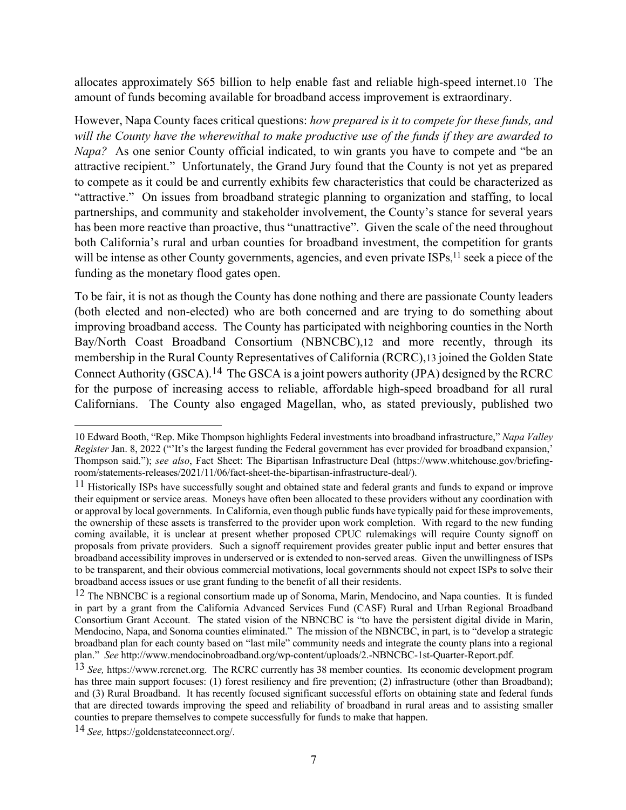allocates approximately \$65 billion to help enable fast and reliable high-speed internet.10 The amount of funds becoming available for broadband access improvement is extraordinary.

However, Napa County faces critical questions: *how prepared is it to compete for these funds, and will the County have the wherewithal to make productive use of the funds if they are awarded to Napa?* As one senior County official indicated, to win grants you have to compete and "be an attractive recipient." Unfortunately, the Grand Jury found that the County is not yet as prepared to compete as it could be and currently exhibits few characteristics that could be characterized as "attractive." On issues from broadband strategic planning to organization and staffing, to local partnerships, and community and stakeholder involvement, the County's stance for several years has been more reactive than proactive, thus "unattractive". Given the scale of the need throughout both California's rural and urban counties for broadband investment, the competition for grants will be intense as other County governments, agencies, and even private ISPs,<sup>11</sup> seek a piece of the funding as the monetary flood gates open.

To be fair, it is not as though the County has done nothing and there are passionate County leaders (both elected and non-elected) who are both concerned and are trying to do something about improving broadband access. The County has participated with neighboring counties in the North Bay/North Coast Broadband Consortium (NBNCBC),12 and more recently, through its membership in the Rural County Representatives of California (RCRC),13 joined the Golden State Connect Authority (GSCA).14 The GSCA is a joint powers authority (JPA) designed by the RCRC for the purpose of increasing access to reliable, affordable high-speed broadband for all rural Californians. The County also engaged Magellan, who, as stated previously, published two

14 *See,* https://goldenstateconnect.org/.

<sup>10</sup> Edward Booth, "Rep. Mike Thompson highlights Federal investments into broadband infrastructure," *Napa Valley Register* Jan. 8, 2022 ("'It's the largest funding the Federal government has ever provided for broadband expansion,' Thompson said."); *see also*, Fact Sheet: The Bipartisan Infrastructure Deal (https://www.whitehouse.gov/briefingroom/statements-releases/2021/11/06/fact-sheet-the-bipartisan-infrastructure-deal/).

 $11$  Historically ISPs have successfully sought and obtained state and federal grants and funds to expand or improve their equipment or service areas. Moneys have often been allocated to these providers without any coordination with or approval by local governments. In California, even though public funds have typically paid for these improvements, the ownership of these assets is transferred to the provider upon work completion. With regard to the new funding coming available, it is unclear at present whether proposed CPUC rulemakings will require County signoff on proposals from private providers. Such a signoff requirement provides greater public input and better ensures that broadband accessibility improves in underserved or is extended to non-served areas. Given the unwillingness of ISPs to be transparent, and their obvious commercial motivations, local governments should not expect ISPs to solve their broadband access issues or use grant funding to the benefit of all their residents.

 $12$  The NBNCBC is a regional consortium made up of Sonoma, Marin, Mendocino, and Napa counties. It is funded in part by a grant from the California Advanced Services Fund (CASF) Rural and Urban Regional Broadband Consortium Grant Account. The stated vision of the NBNCBC is "to have the persistent digital divide in Marin, Mendocino, Napa, and Sonoma counties eliminated." The mission of the NBNCBC, in part, is to "develop a strategic broadband plan for each county based on "last mile" community needs and integrate the county plans into a regional plan." *See* http://www.mendocinobroadband.org/wp-content/uploads/2.-NBNCBC-1st-Quarter-Report.pdf.

<sup>13</sup> *See,* https://www.rcrcnet.org. The RCRC currently has 38 member counties. Its economic development program has three main support focuses: (1) forest resiliency and fire prevention; (2) infrastructure (other than Broadband); and (3) Rural Broadband. It has recently focused significant successful efforts on obtaining state and federal funds that are directed towards improving the speed and reliability of broadband in rural areas and to assisting smaller counties to prepare themselves to compete successfully for funds to make that happen.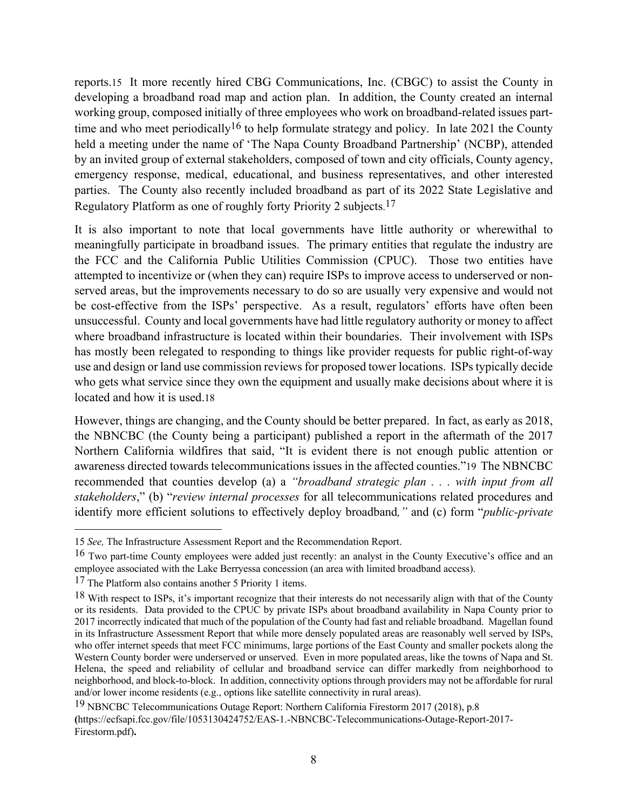reports.15 It more recently hired CBG Communications, Inc. (CBGC) to assist the County in developing a broadband road map and action plan. In addition, the County created an internal working group, composed initially of three employees who work on broadband-related issues parttime and who meet periodically<sup>16</sup> to help formulate strategy and policy. In late 2021 the County held a meeting under the name of 'The Napa County Broadband Partnership' (NCBP), attended by an invited group of external stakeholders, composed of town and city officials, County agency, emergency response, medical, educational, and business representatives, and other interested parties. The County also recently included broadband as part of its 2022 State Legislative and Regulatory Platform as one of roughly forty Priority 2 subjects.<sup>17</sup>

It is also important to note that local governments have little authority or wherewithal to meaningfully participate in broadband issues. The primary entities that regulate the industry are the FCC and the California Public Utilities Commission (CPUC). Those two entities have attempted to incentivize or (when they can) require ISPs to improve access to underserved or nonserved areas, but the improvements necessary to do so are usually very expensive and would not be cost-effective from the ISPs' perspective. As a result, regulators' efforts have often been unsuccessful. County and local governments have had little regulatory authority or money to affect where broadband infrastructure is located within their boundaries. Their involvement with ISPs has mostly been relegated to responding to things like provider requests for public right-of-way use and design or land use commission reviews for proposed tower locations. ISPs typically decide who gets what service since they own the equipment and usually make decisions about where it is located and how it is used.18

However, things are changing, and the County should be better prepared. In fact, as early as 2018, the NBNCBC (the County being a participant) published a report in the aftermath of the 2017 Northern California wildfires that said, "It is evident there is not enough public attention or awareness directed towards telecommunications issues in the affected counties."19 The NBNCBC recommended that counties develop (a) a *"broadband strategic plan . . . with input from all stakeholders*," (b) "*review internal processes* for all telecommunications related procedures and identify more efficient solutions to effectively deploy broadband*,"* and (c) form "*public-private*

<sup>15</sup> *See,* The Infrastructure Assessment Report and the Recommendation Report.

<sup>&</sup>lt;sup>16</sup> Two part-time County employees were added just recently: an analyst in the County Executive's office and an employee associated with the Lake Berryessa concession (an area with limited broadband access).

<sup>17</sup> The Platform also contains another 5 Priority 1 items.

 $18$  With respect to ISPs, it's important recognize that their interests do not necessarily align with that of the County or its residents. Data provided to the CPUC by private ISPs about broadband availability in Napa County prior to 2017 incorrectly indicated that much of the population of the County had fast and reliable broadband. Magellan found in its Infrastructure Assessment Report that while more densely populated areas are reasonably well served by ISPs, who offer internet speeds that meet FCC minimums, large portions of the East County and smaller pockets along the Western County border were underserved or unserved. Even in more populated areas, like the towns of Napa and St. Helena, the speed and reliability of cellular and broadband service can differ markedly from neighborhood to neighborhood, and block-to-block. In addition, connectivity options through providers may not be affordable for rural and/or lower income residents (e.g., options like satellite connectivity in rural areas).

<sup>&</sup>lt;sup>19</sup> NBNCBC Telecommunications Outage Report: Northern California Firestorm 2017 (2018), p.8 **(**https://ecfsapi.fcc.gov/file/1053130424752/EAS-1.-NBNCBC-Telecommunications-Outage-Report-2017- Firestorm.pdf)**.**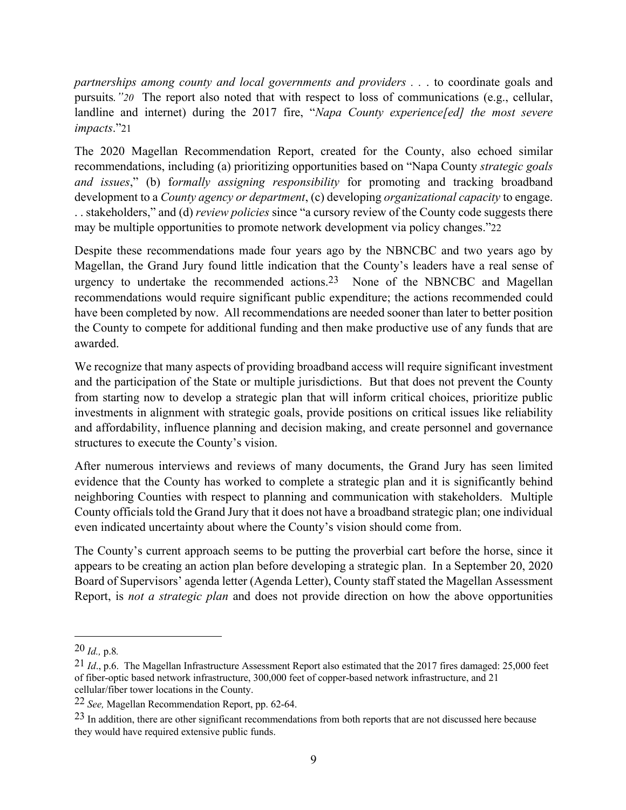*partnerships among county and local governments and providers . .* . to coordinate goals and pursuits*."20* The report also noted that with respect to loss of communications (e.g., cellular, landline and internet) during the 2017 fire, "*Napa County experience[ed] the most severe impacts*."21

The 2020 Magellan Recommendation Report, created for the County, also echoed similar recommendations, including (a) prioritizing opportunities based on "Napa County *strategic goals and issues*," (b) f*ormally assigning responsibility* for promoting and tracking broadband development to a *County agency or department*, (c) developing *organizational capacity* to engage. . . stakeholders," and (d) *review policies* since "a cursory review of the County code suggests there may be multiple opportunities to promote network development via policy changes."22

Despite these recommendations made four years ago by the NBNCBC and two years ago by Magellan, the Grand Jury found little indication that the County's leaders have a real sense of urgency to undertake the recommended actions.<sup>23</sup> None of the NBNCBC and Magellan recommendations would require significant public expenditure; the actions recommended could have been completed by now. All recommendations are needed sooner than later to better position the County to compete for additional funding and then make productive use of any funds that are awarded.

We recognize that many aspects of providing broadband access will require significant investment and the participation of the State or multiple jurisdictions. But that does not prevent the County from starting now to develop a strategic plan that will inform critical choices, prioritize public investments in alignment with strategic goals, provide positions on critical issues like reliability and affordability, influence planning and decision making, and create personnel and governance structures to execute the County's vision.

After numerous interviews and reviews of many documents, the Grand Jury has seen limited evidence that the County has worked to complete a strategic plan and it is significantly behind neighboring Counties with respect to planning and communication with stakeholders. Multiple County officials told the Grand Jury that it does not have a broadband strategic plan; one individual even indicated uncertainty about where the County's vision should come from.

The County's current approach seems to be putting the proverbial cart before the horse, since it appears to be creating an action plan before developing a strategic plan. In a September 20, 2020 Board of Supervisors' agenda letter (Agenda Letter), County staff stated the Magellan Assessment Report, is *not a strategic plan* and does not provide direction on how the above opportunities

<sup>20</sup> *Id.,* p.8*.*

<sup>21</sup> *Id*., p.6. The Magellan Infrastructure Assessment Report also estimated that the 2017 fires damaged: 25,000 feet of fiber-optic based network infrastructure, 300,000 feet of copper-based network infrastructure, and 21 cellular/fiber tower locations in the County.

<sup>22</sup> *See,* Magellan Recommendation Report, pp. 62-64.

 $23$  In addition, there are other significant recommendations from both reports that are not discussed here because they would have required extensive public funds.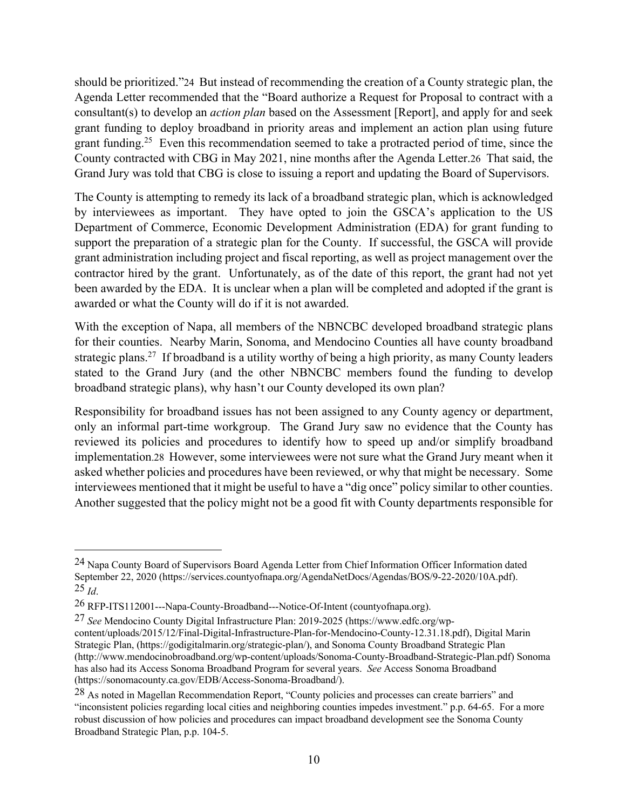should be prioritized."24 But instead of recommending the creation of a County strategic plan, the Agenda Letter recommended that the "Board authorize a Request for Proposal to contract with a consultant(s) to develop an *action plan* based on the Assessment [Report], and apply for and seek grant funding to deploy broadband in priority areas and implement an action plan using future grant funding.<sup>25</sup> Even this recommendation seemed to take a protracted period of time, since the County contracted with CBG in May 2021, nine months after the Agenda Letter.26 That said, the Grand Jury was told that CBG is close to issuing a report and updating the Board of Supervisors.

The County is attempting to remedy its lack of a broadband strategic plan, which is acknowledged by interviewees as important. They have opted to join the GSCA's application to the US Department of Commerce, Economic Development Administration (EDA) for grant funding to support the preparation of a strategic plan for the County. If successful, the GSCA will provide grant administration including project and fiscal reporting, as well as project management over the contractor hired by the grant. Unfortunately, as of the date of this report, the grant had not yet been awarded by the EDA. It is unclear when a plan will be completed and adopted if the grant is awarded or what the County will do if it is not awarded.

With the exception of Napa, all members of the NBNCBC developed broadband strategic plans for their counties. Nearby Marin, Sonoma, and Mendocino Counties all have county broadband strategic plans.<sup>27</sup> If broadband is a utility worthy of being a high priority, as many County leaders stated to the Grand Jury (and the other NBNCBC members found the funding to develop broadband strategic plans), why hasn't our County developed its own plan?

Responsibility for broadband issues has not been assigned to any County agency or department, only an informal part-time workgroup. The Grand Jury saw no evidence that the County has reviewed its policies and procedures to identify how to speed up and/or simplify broadband implementation.28 However, some interviewees were not sure what the Grand Jury meant when it asked whether policies and procedures have been reviewed, or why that might be necessary. Some interviewees mentioned that it might be useful to have a "dig once" policy similar to other counties. Another suggested that the policy might not be a good fit with County departments responsible for

<sup>24</sup> Napa County Board of Supervisors Board Agenda Letter from Chief Information Officer Information dated September 22, 2020 (https://services.countyofnapa.org/AgendaNetDocs/Agendas/BOS/9-22-2020/10A.pdf). 25 *Id*.

<sup>26</sup> RFP-ITS112001---Napa-County-Broadband---Notice-Of-Intent (countyofnapa.org).

<sup>27</sup> *See* Mendocino County Digital Infrastructure Plan: 2019-2025 (https://www.edfc.org/wpcontent/uploads/2015/12/Final-Digital-Infrastructure-Plan-for-Mendocino-County-12.31.18.pdf), Digital Marin Strategic Plan, (https://godigitalmarin.org/strategic-plan/), and Sonoma County Broadband Strategic Plan (http://www.mendocinobroadband.org/wp-content/uploads/Sonoma-County-Broadband-Strategic-Plan.pdf) Sonoma has also had its Access Sonoma Broadband Program for several years. *See* Access Sonoma Broadband (https://sonomacounty.ca.gov/EDB/Access-Sonoma-Broadband/).

<sup>28</sup> As noted in Magellan Recommendation Report, "County policies and processes can create barriers" and "inconsistent policies regarding local cities and neighboring counties impedes investment." p.p. 64-65. For a more robust discussion of how policies and procedures can impact broadband development see the Sonoma County Broadband Strategic Plan, p.p. 104-5.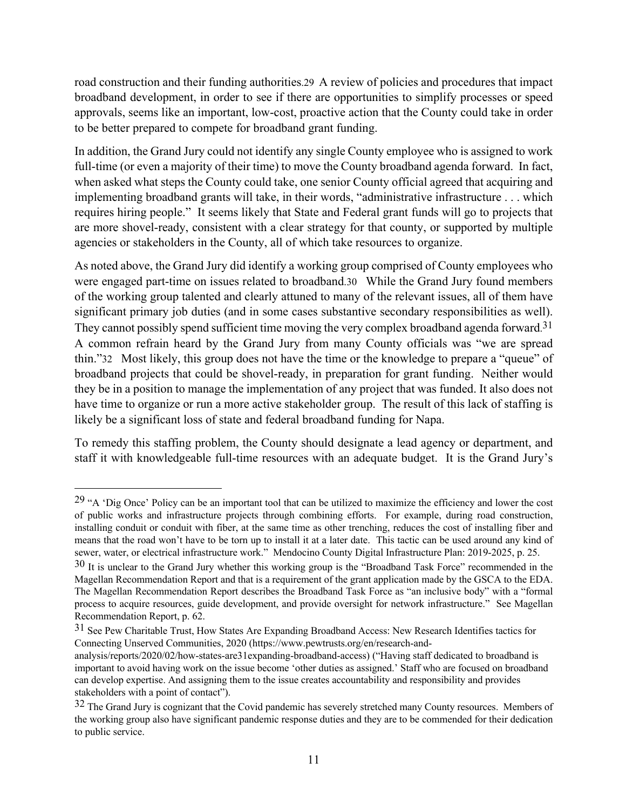road construction and their funding authorities.29 A review of policies and procedures that impact broadband development, in order to see if there are opportunities to simplify processes or speed approvals, seems like an important, low-cost, proactive action that the County could take in order to be better prepared to compete for broadband grant funding.

In addition, the Grand Jury could not identify any single County employee who is assigned to work full-time (or even a majority of their time) to move the County broadband agenda forward. In fact, when asked what steps the County could take, one senior County official agreed that acquiring and implementing broadband grants will take, in their words, "administrative infrastructure . . . which requires hiring people." It seems likely that State and Federal grant funds will go to projects that are more shovel-ready, consistent with a clear strategy for that county, or supported by multiple agencies or stakeholders in the County, all of which take resources to organize.

As noted above, the Grand Jury did identify a working group comprised of County employees who were engaged part-time on issues related to broadband.30 While the Grand Jury found members of the working group talented and clearly attuned to many of the relevant issues, all of them have significant primary job duties (and in some cases substantive secondary responsibilities as well). They cannot possibly spend sufficient time moving the very complex broadband agenda forward.<sup>31</sup> A common refrain heard by the Grand Jury from many County officials was "we are spread thin."32 Most likely, this group does not have the time or the knowledge to prepare a "queue" of broadband projects that could be shovel-ready, in preparation for grant funding. Neither would they be in a position to manage the implementation of any project that was funded. It also does not have time to organize or run a more active stakeholder group. The result of this lack of staffing is likely be a significant loss of state and federal broadband funding for Napa.

To remedy this staffing problem, the County should designate a lead agency or department, and staff it with knowledgeable full-time resources with an adequate budget. It is the Grand Jury's

<sup>&</sup>lt;sup>29</sup> "A 'Dig Once' Policy can be an important tool that can be utilized to maximize the efficiency and lower the cost of public works and infrastructure projects through combining efforts. For example, during road construction, installing conduit or conduit with fiber, at the same time as other trenching, reduces the cost of installing fiber and means that the road won't have to be torn up to install it at a later date. This tactic can be used around any kind of sewer, water, or electrical infrastructure work." Mendocino County Digital Infrastructure Plan: 2019-2025, p. 25.

<sup>&</sup>lt;sup>30</sup> It is unclear to the Grand Jury whether this working group is the "Broadband Task Force" recommended in the Magellan Recommendation Report and that is a requirement of the grant application made by the GSCA to the EDA. The Magellan Recommendation Report describes the Broadband Task Force as "an inclusive body" with a "formal process to acquire resources, guide development, and provide oversight for network infrastructure." See Magellan Recommendation Report, p. 62.

<sup>&</sup>lt;sup>31</sup> See Pew Charitable Trust, How States Are Expanding Broadband Access: New Research Identifies tactics for Connecting Unserved Communities, 2020 (https://www.pewtrusts.org/en/research-and-

analysis/reports/2020/02/how-states-are31expanding-broadband-access) ("Having staff dedicated to broadband is important to avoid having work on the issue become 'other duties as assigned.' Staff who are focused on broadband can develop expertise. And assigning them to the issue creates accountability and responsibility and provides stakeholders with a point of contact").

 $32$  The Grand Jury is cognizant that the Covid pandemic has severely stretched many County resources. Members of the working group also have significant pandemic response duties and they are to be commended for their dedication to public service.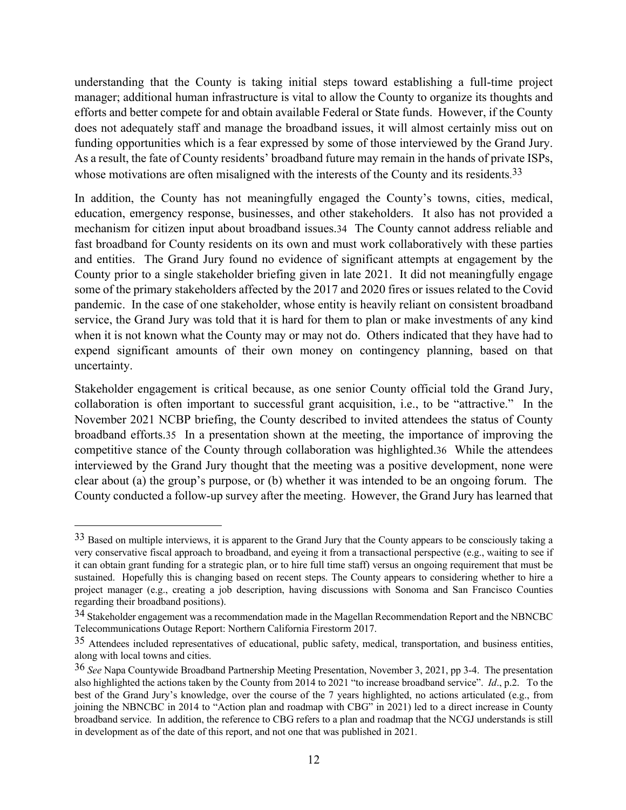understanding that the County is taking initial steps toward establishing a full-time project manager; additional human infrastructure is vital to allow the County to organize its thoughts and efforts and better compete for and obtain available Federal or State funds. However, if the County does not adequately staff and manage the broadband issues, it will almost certainly miss out on funding opportunities which is a fear expressed by some of those interviewed by the Grand Jury. As a result, the fate of County residents' broadband future may remain in the hands of private ISPs, whose motivations are often misaligned with the interests of the County and its residents.<sup>33</sup>

In addition, the County has not meaningfully engaged the County's towns, cities, medical, education, emergency response, businesses, and other stakeholders. It also has not provided a mechanism for citizen input about broadband issues.34 The County cannot address reliable and fast broadband for County residents on its own and must work collaboratively with these parties and entities. The Grand Jury found no evidence of significant attempts at engagement by the County prior to a single stakeholder briefing given in late 2021. It did not meaningfully engage some of the primary stakeholders affected by the 2017 and 2020 fires or issues related to the Covid pandemic. In the case of one stakeholder, whose entity is heavily reliant on consistent broadband service, the Grand Jury was told that it is hard for them to plan or make investments of any kind when it is not known what the County may or may not do. Others indicated that they have had to expend significant amounts of their own money on contingency planning, based on that uncertainty.

Stakeholder engagement is critical because, as one senior County official told the Grand Jury, collaboration is often important to successful grant acquisition, i.e., to be "attractive." In the November 2021 NCBP briefing, the County described to invited attendees the status of County broadband efforts.35 In a presentation shown at the meeting, the importance of improving the competitive stance of the County through collaboration was highlighted.36 While the attendees interviewed by the Grand Jury thought that the meeting was a positive development, none were clear about (a) the group's purpose, or (b) whether it was intended to be an ongoing forum. The County conducted a follow-up survey after the meeting. However, the Grand Jury has learned that

 $33$  Based on multiple interviews, it is apparent to the Grand Jury that the County appears to be consciously taking a very conservative fiscal approach to broadband, and eyeing it from a transactional perspective (e.g., waiting to see if it can obtain grant funding for a strategic plan, or to hire full time staff) versus an ongoing requirement that must be sustained. Hopefully this is changing based on recent steps. The County appears to considering whether to hire a project manager (e.g., creating a job description, having discussions with Sonoma and San Francisco Counties regarding their broadband positions).

<sup>34</sup> Stakeholder engagement was a recommendation made in the Magellan Recommendation Report and the NBNCBC Telecommunications Outage Report: Northern California Firestorm 2017.

<sup>35</sup> Attendees included representatives of educational, public safety, medical, transportation, and business entities, along with local towns and cities.

<sup>36</sup> *See* Napa Countywide Broadband Partnership Meeting Presentation, November 3, 2021, pp 3-4. The presentation also highlighted the actions taken by the County from 2014 to 2021 "to increase broadband service". *Id*., p.2. To the best of the Grand Jury's knowledge, over the course of the 7 years highlighted, no actions articulated (e.g., from joining the NBNCBC in 2014 to "Action plan and roadmap with CBG" in 2021) led to a direct increase in County broadband service. In addition, the reference to CBG refers to a plan and roadmap that the NCGJ understands is still in development as of the date of this report, and not one that was published in 2021.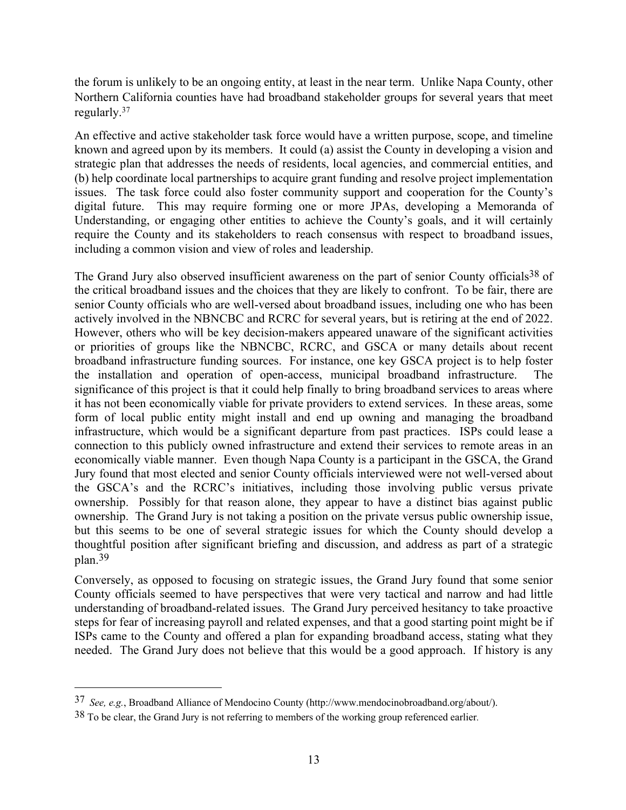the forum is unlikely to be an ongoing entity, at least in the near term. Unlike Napa County, other Northern California counties have had broadband stakeholder groups for several years that meet regularly. 37

An effective and active stakeholder task force would have a written purpose, scope, and timeline known and agreed upon by its members. It could (a) assist the County in developing a vision and strategic plan that addresses the needs of residents, local agencies, and commercial entities, and (b) help coordinate local partnerships to acquire grant funding and resolve project implementation issues. The task force could also foster community support and cooperation for the County's digital future. This may require forming one or more JPAs, developing a Memoranda of Understanding, or engaging other entities to achieve the County's goals, and it will certainly require the County and its stakeholders to reach consensus with respect to broadband issues, including a common vision and view of roles and leadership.

The Grand Jury also observed insufficient awareness on the part of senior County officials<sup>38</sup> of the critical broadband issues and the choices that they are likely to confront. To be fair, there are senior County officials who are well-versed about broadband issues, including one who has been actively involved in the NBNCBC and RCRC for several years, but is retiring at the end of 2022. However, others who will be key decision-makers appeared unaware of the significant activities or priorities of groups like the NBNCBC, RCRC, and GSCA or many details about recent broadband infrastructure funding sources. For instance, one key GSCA project is to help foster the installation and operation of open-access, municipal broadband infrastructure. The significance of this project is that it could help finally to bring broadband services to areas where it has not been economically viable for private providers to extend services. In these areas, some form of local public entity might install and end up owning and managing the broadband infrastructure, which would be a significant departure from past practices. ISPs could lease a connection to this publicly owned infrastructure and extend their services to remote areas in an economically viable manner. Even though Napa County is a participant in the GSCA, the Grand Jury found that most elected and senior County officials interviewed were not well-versed about the GSCA's and the RCRC's initiatives, including those involving public versus private ownership. Possibly for that reason alone, they appear to have a distinct bias against public ownership. The Grand Jury is not taking a position on the private versus public ownership issue, but this seems to be one of several strategic issues for which the County should develop a thoughtful position after significant briefing and discussion, and address as part of a strategic plan. 39

Conversely, as opposed to focusing on strategic issues, the Grand Jury found that some senior County officials seemed to have perspectives that were very tactical and narrow and had little understanding of broadband-related issues. The Grand Jury perceived hesitancy to take proactive steps for fear of increasing payroll and related expenses, and that a good starting point might be if ISPs came to the County and offered a plan for expanding broadband access, stating what they needed. The Grand Jury does not believe that this would be a good approach. If history is any

<sup>37</sup> *See, e.g.*, Broadband Alliance of Mendocino County (http://www.mendocinobroadband.org/about/).

 $38$  To be clear, the Grand Jury is not referring to members of the working group referenced earlier.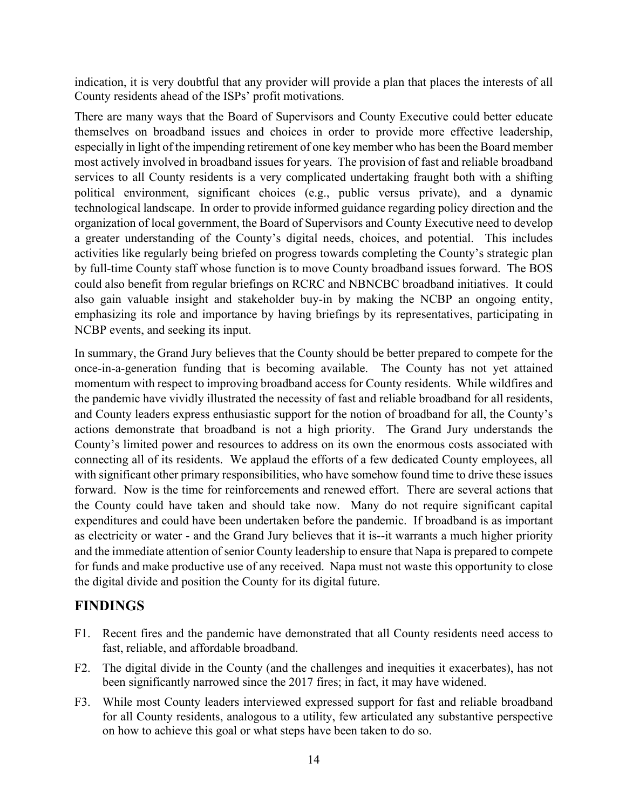indication, it is very doubtful that any provider will provide a plan that places the interests of all County residents ahead of the ISPs' profit motivations.

There are many ways that the Board of Supervisors and County Executive could better educate themselves on broadband issues and choices in order to provide more effective leadership, especially in light of the impending retirement of one key member who has been the Board member most actively involved in broadband issues for years. The provision of fast and reliable broadband services to all County residents is a very complicated undertaking fraught both with a shifting political environment, significant choices (e.g., public versus private), and a dynamic technological landscape. In order to provide informed guidance regarding policy direction and the organization of local government, the Board of Supervisors and County Executive need to develop a greater understanding of the County's digital needs, choices, and potential. This includes activities like regularly being briefed on progress towards completing the County's strategic plan by full-time County staff whose function is to move County broadband issues forward. The BOS could also benefit from regular briefings on RCRC and NBNCBC broadband initiatives. It could also gain valuable insight and stakeholder buy-in by making the NCBP an ongoing entity, emphasizing its role and importance by having briefings by its representatives, participating in NCBP events, and seeking its input.

In summary, the Grand Jury believes that the County should be better prepared to compete for the once-in-a-generation funding that is becoming available. The County has not yet attained momentum with respect to improving broadband access for County residents. While wildfires and the pandemic have vividly illustrated the necessity of fast and reliable broadband for all residents, and County leaders express enthusiastic support for the notion of broadband for all, the County's actions demonstrate that broadband is not a high priority. The Grand Jury understands the County's limited power and resources to address on its own the enormous costs associated with connecting all of its residents. We applaud the efforts of a few dedicated County employees, all with significant other primary responsibilities, who have somehow found time to drive these issues forward. Now is the time for reinforcements and renewed effort. There are several actions that the County could have taken and should take now. Many do not require significant capital expenditures and could have been undertaken before the pandemic. If broadband is as important as electricity or water - and the Grand Jury believes that it is--it warrants a much higher priority and the immediate attention of senior County leadership to ensure that Napa is prepared to compete for funds and make productive use of any received. Napa must not waste this opportunity to close the digital divide and position the County for its digital future.

### **FINDINGS**

- F1. Recent fires and the pandemic have demonstrated that all County residents need access to fast, reliable, and affordable broadband.
- F2. The digital divide in the County (and the challenges and inequities it exacerbates), has not been significantly narrowed since the 2017 fires; in fact, it may have widened.
- F3. While most County leaders interviewed expressed support for fast and reliable broadband for all County residents, analogous to a utility, few articulated any substantive perspective on how to achieve this goal or what steps have been taken to do so.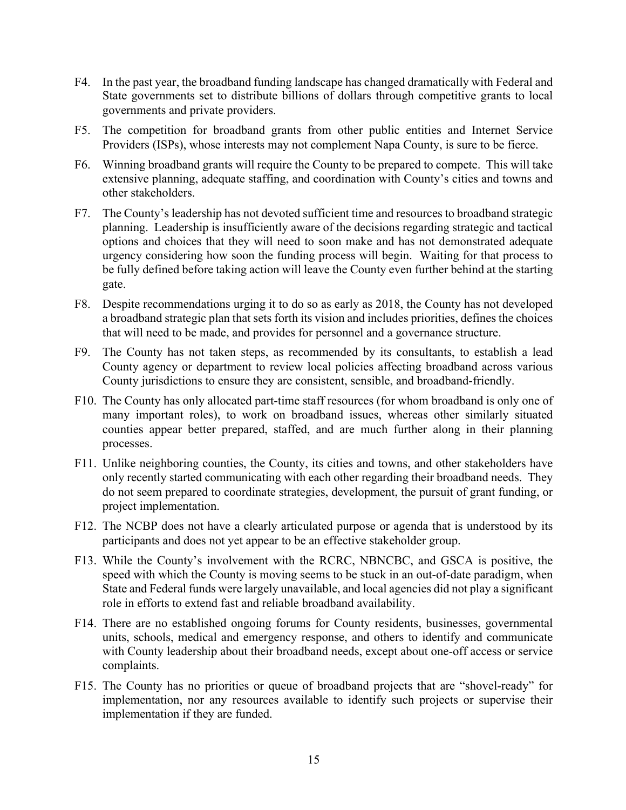- F4. In the past year, the broadband funding landscape has changed dramatically with Federal and State governments set to distribute billions of dollars through competitive grants to local governments and private providers.
- F5. The competition for broadband grants from other public entities and Internet Service Providers (ISPs), whose interests may not complement Napa County, is sure to be fierce.
- F6. Winning broadband grants will require the County to be prepared to compete. This will take extensive planning, adequate staffing, and coordination with County's cities and towns and other stakeholders.
- F7. The County's leadership has not devoted sufficient time and resources to broadband strategic planning. Leadership is insufficiently aware of the decisions regarding strategic and tactical options and choices that they will need to soon make and has not demonstrated adequate urgency considering how soon the funding process will begin. Waiting for that process to be fully defined before taking action will leave the County even further behind at the starting gate.
- F8. Despite recommendations urging it to do so as early as 2018, the County has not developed a broadband strategic plan that sets forth its vision and includes priorities, defines the choices that will need to be made, and provides for personnel and a governance structure.
- F9. The County has not taken steps, as recommended by its consultants, to establish a lead County agency or department to review local policies affecting broadband across various County jurisdictions to ensure they are consistent, sensible, and broadband-friendly.
- F10. The County has only allocated part-time staff resources (for whom broadband is only one of many important roles), to work on broadband issues, whereas other similarly situated counties appear better prepared, staffed, and are much further along in their planning processes.
- F11. Unlike neighboring counties, the County, its cities and towns, and other stakeholders have only recently started communicating with each other regarding their broadband needs. They do not seem prepared to coordinate strategies, development, the pursuit of grant funding, or project implementation.
- F12. The NCBP does not have a clearly articulated purpose or agenda that is understood by its participants and does not yet appear to be an effective stakeholder group.
- F13. While the County's involvement with the RCRC, NBNCBC, and GSCA is positive, the speed with which the County is moving seems to be stuck in an out-of-date paradigm, when State and Federal funds were largely unavailable, and local agencies did not play a significant role in efforts to extend fast and reliable broadband availability.
- F14. There are no established ongoing forums for County residents, businesses, governmental units, schools, medical and emergency response, and others to identify and communicate with County leadership about their broadband needs, except about one-off access or service complaints.
- F15. The County has no priorities or queue of broadband projects that are "shovel-ready" for implementation, nor any resources available to identify such projects or supervise their implementation if they are funded.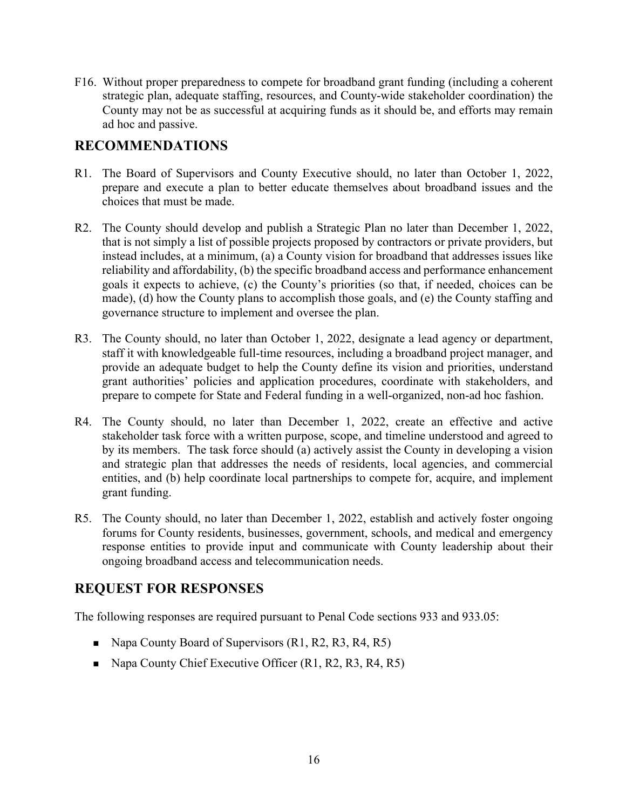F16. Without proper preparedness to compete for broadband grant funding (including a coherent strategic plan, adequate staffing, resources, and County-wide stakeholder coordination) the County may not be as successful at acquiring funds as it should be, and efforts may remain ad hoc and passive.

### **RECOMMENDATIONS**

- R1. The Board of Supervisors and County Executive should, no later than October 1, 2022, prepare and execute a plan to better educate themselves about broadband issues and the choices that must be made.
- R2. The County should develop and publish a Strategic Plan no later than December 1, 2022, that is not simply a list of possible projects proposed by contractors or private providers, but instead includes, at a minimum, (a) a County vision for broadband that addresses issues like reliability and affordability, (b) the specific broadband access and performance enhancement goals it expects to achieve, (c) the County's priorities (so that, if needed, choices can be made), (d) how the County plans to accomplish those goals, and (e) the County staffing and governance structure to implement and oversee the plan.
- R3. The County should, no later than October 1, 2022, designate a lead agency or department, staff it with knowledgeable full-time resources, including a broadband project manager, and provide an adequate budget to help the County define its vision and priorities, understand grant authorities' policies and application procedures, coordinate with stakeholders, and prepare to compete for State and Federal funding in a well-organized, non-ad hoc fashion.
- R4. The County should, no later than December 1, 2022, create an effective and active stakeholder task force with a written purpose, scope, and timeline understood and agreed to by its members. The task force should (a) actively assist the County in developing a vision and strategic plan that addresses the needs of residents, local agencies, and commercial entities, and (b) help coordinate local partnerships to compete for, acquire, and implement grant funding.
- R5. The County should, no later than December 1, 2022, establish and actively foster ongoing forums for County residents, businesses, government, schools, and medical and emergency response entities to provide input and communicate with County leadership about their ongoing broadband access and telecommunication needs.

#### **REQUEST FOR RESPONSES**

The following responses are required pursuant to Penal Code sections 933 and 933.05:

- $\blacksquare$  Napa County Board of Supervisors (R1, R2, R3, R4, R5)
- $\blacksquare$  Napa County Chief Executive Officer (R1, R2, R3, R4, R5)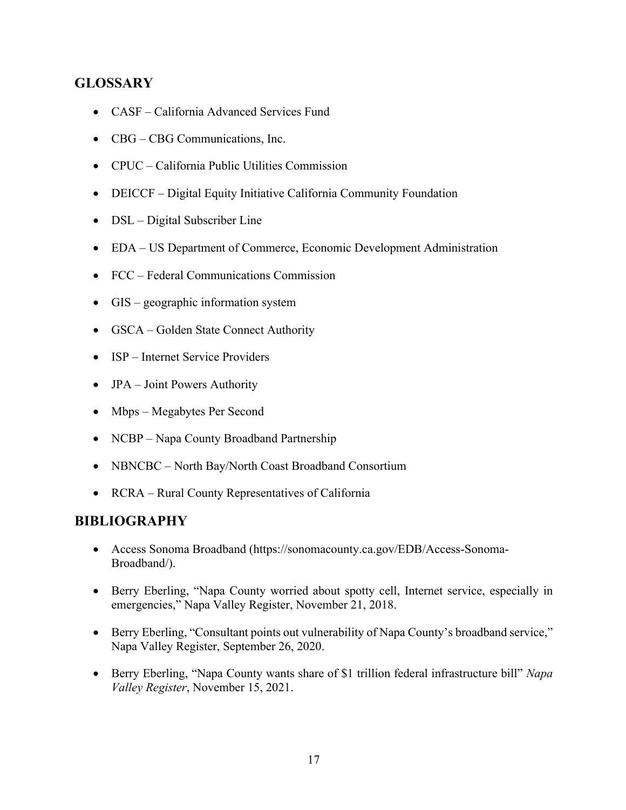# **GLOSSARY**

- CASF California Advanced Services Fund
- CBG CBG Communications, Inc.
- CPUC California Public Utilities Commission
- DEICCF Digital Equity Initiative California Community Foundation
- DSL Digital Subscriber Line
- EDA US Department of Commerce, Economic Development Administration
- FCC Federal Communications Commission
- GIS geographic information system
- GSCA Golden State Connect Authority
- ISP Internet Service Providers
- JPA Joint Powers Authority
- Mbps Megabytes Per Second
- NCBP Napa County Broadband Partnership
- NBNCBC North Bay/North Coast Broadband Consortium
- RCRA Rural County Representatives of California

#### **BIBLIOGRAPHY**

- Access Sonoma Broadband (https://sonomacounty.ca.gov/EDB/Access-Sonoma-Broadband/).
- Berry Eberling, "Napa County worried about spotty cell, Internet service, especially in emergencies," Napa Valley Register, November 21, 2018.
- Berry Eberling, "Consultant points out vulnerability of Napa County's broadband service," Napa Valley Register, September 26, 2020.
- Berry Eberling, "Napa County wants share of \$1 trillion federal infrastructure bill" *Napa Valley Register*, November 15, 2021.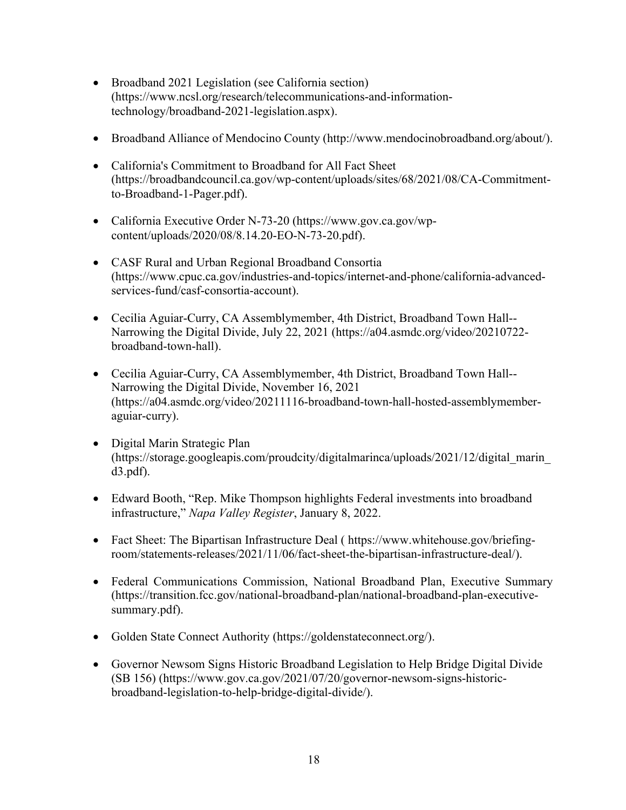- Broadband 2021 Legislation (see California section) (https://www.ncsl.org/research/telecommunications-and-informationtechnology/broadband-2021-legislation.aspx).
- Broadband Alliance of Mendocino County (http://www.mendocinobroadband.org/about/).
- California's Commitment to Broadband for All Fact Sheet (https://broadbandcouncil.ca.gov/wp-content/uploads/sites/68/2021/08/CA-Commitmentto-Broadband-1-Pager.pdf).
- California Executive Order N-73-20 (https://www.gov.ca.gov/wpcontent/uploads/2020/08/8.14.20-EO-N-73-20.pdf).
- CASF Rural and Urban Regional Broadband Consortia (https://www.cpuc.ca.gov/industries-and-topics/internet-and-phone/california-advancedservices-fund/casf-consortia-account).
- Cecilia Aguiar-Curry, CA Assemblymember, 4th District, Broadband Town Hall-- Narrowing the Digital Divide, July 22, 2021 (https://a04.asmdc.org/video/20210722 broadband-town-hall).
- Cecilia Aguiar-Curry, CA Assemblymember, 4th District, Broadband Town Hall-- Narrowing the Digital Divide, November 16, 2021 (https://a04.asmdc.org/video/20211116-broadband-town-hall-hosted-assemblymemberaguiar-curry).
- Digital Marin Strategic Plan (https://storage.googleapis.com/proudcity/digitalmarinca/uploads/2021/12/digital\_marin\_ d3.pdf).
- Edward Booth, "Rep. Mike Thompson highlights Federal investments into broadband infrastructure," *Napa Valley Register*, January 8, 2022.
- Fact Sheet: The Bipartisan Infrastructure Deal ( https://www.whitehouse.gov/briefingroom/statements-releases/2021/11/06/fact-sheet-the-bipartisan-infrastructure-deal/).
- Federal Communications Commission, National Broadband Plan, Executive Summary (https://transition.fcc.gov/national-broadband-plan/national-broadband-plan-executivesummary.pdf).
- Golden State Connect Authority (https://goldenstateconnect.org/).
- Governor Newsom Signs Historic Broadband Legislation to Help Bridge Digital Divide (SB 156) (https://www.gov.ca.gov/2021/07/20/governor-newsom-signs-historicbroadband-legislation-to-help-bridge-digital-divide/).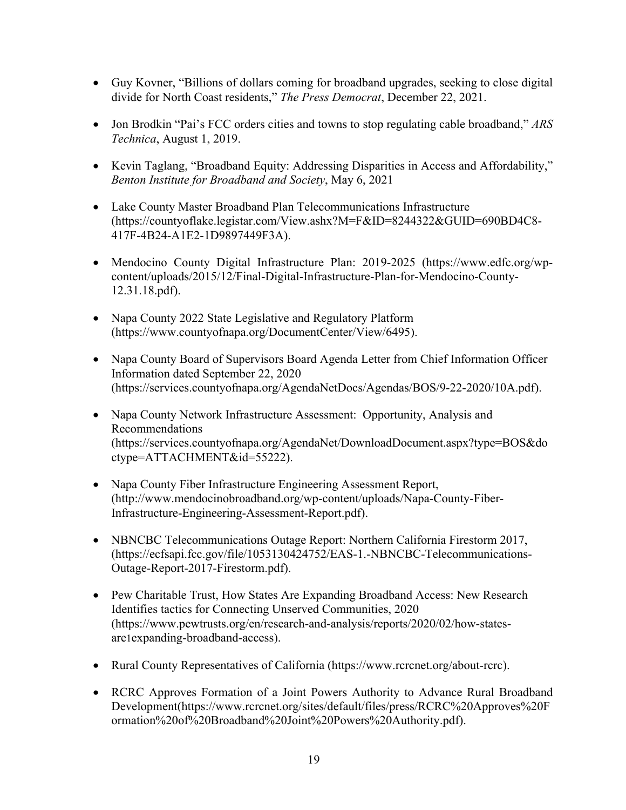- Guy Kovner, "Billions of dollars coming for broadband upgrades, seeking to close digital divide for North Coast residents," *The Press Democrat*, December 22, 2021.
- Jon Brodkin "Pai's FCC orders cities and towns to stop regulating cable broadband," *ARS Technica*, August 1, 2019.
- Kevin Taglang, "Broadband Equity: Addressing Disparities in Access and Affordability," *Benton Institute for Broadband and Society*, May 6, 2021
- Lake County Master Broadband Plan Telecommunications Infrastructure (https://countyoflake.legistar.com/View.ashx?M=F&ID=8244322&GUID=690BD4C8- 417F-4B24-A1E2-1D9897449F3A).
- Mendocino County Digital Infrastructure Plan: 2019-2025 (https://www.edfc.org/wpcontent/uploads/2015/12/Final-Digital-Infrastructure-Plan-for-Mendocino-County-12.31.18.pdf).
- Napa County 2022 State Legislative and Regulatory Platform (https://www.countyofnapa.org/DocumentCenter/View/6495).
- Napa County Board of Supervisors Board Agenda Letter from Chief Information Officer Information dated September 22, 2020 (https://services.countyofnapa.org/AgendaNetDocs/Agendas/BOS/9-22-2020/10A.pdf).
- Napa County Network Infrastructure Assessment: Opportunity, Analysis and Recommendations (https://services.countyofnapa.org/AgendaNet/DownloadDocument.aspx?type=BOS&do ctype=ATTACHMENT&id=55222).
- Napa County Fiber Infrastructure Engineering Assessment Report, (http://www.mendocinobroadband.org/wp-content/uploads/Napa-County-Fiber-Infrastructure-Engineering-Assessment-Report.pdf).
- NBNCBC Telecommunications Outage Report: Northern California Firestorm 2017, (https://ecfsapi.fcc.gov/file/1053130424752/EAS-1.-NBNCBC-Telecommunications-Outage-Report-2017-Firestorm.pdf).
- Pew Charitable Trust, How States Are Expanding Broadband Access: New Research Identifies tactics for Connecting Unserved Communities, 2020 (https://www.pewtrusts.org/en/research-and-analysis/reports/2020/02/how-statesare1expanding-broadband-access).
- Rural County Representatives of California (https://www.rcrcnet.org/about-rcrc).
- RCRC Approves Formation of a Joint Powers Authority to Advance Rural Broadband Development(https://www.rcrcnet.org/sites/default/files/press/RCRC%20Approves%20F ormation%20of%20Broadband%20Joint%20Powers%20Authority.pdf).